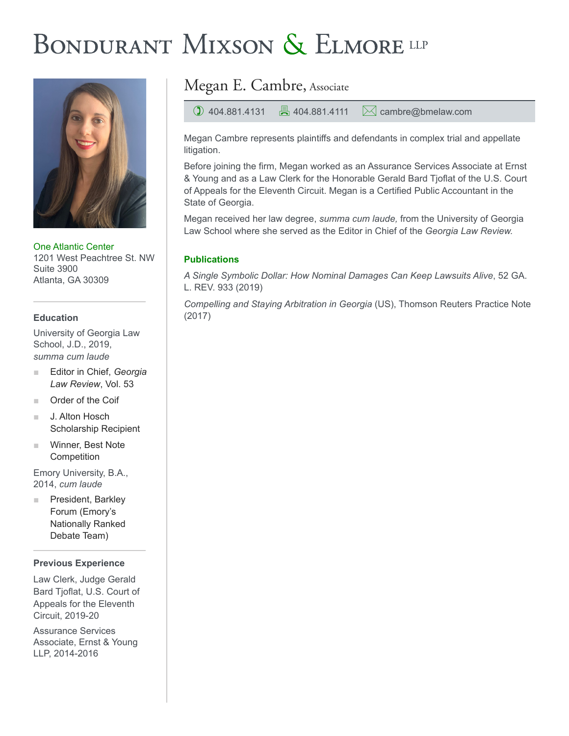# BONDURANT MIXSON & ELMORE LLP



One Atlantic Center 1201 West Peachtree St. NW Suite 3900 Atlanta, GA 30309

### **Education**

University of Georgia Law School, J.D., 2019, *summa cum laude*

- Editor in Chief, *Georgia Law Review*, Vol. 53
- Order of the Coif
- J. Alton Hosch Scholarship Recipient
- Winner, Best Note **Competition**

Emory University, B.A., 2014, *cum laude*

President, Barkley Forum (Emory's Nationally Ranked Debate Team)

#### **Previous Experience**

Law Clerk, Judge Gerald Bard Tjoflat, U.S. Court of Appeals for the Eleventh Circuit, 2019-20

Assurance Services Associate, Ernst & Young LLP, 2014-2016

## Megan E. Cambre, Associate

 $\bigcirc$  404.881.4131  $\bigcirc$  404.881.4111  $\bigcirc$  cambre@bmelaw.com

Megan Cambre represents plaintiffs and defendants in complex trial and appellate litigation.

Before joining the firm, Megan worked as an Assurance Services Associate at Ernst & Young and as a Law Clerk for the Honorable Gerald Bard Tjoflat of the U.S. Court of Appeals for the Eleventh Circuit. Megan is a Certified Public Accountant in the State of Georgia.

Megan received her law degree, *summa cum laude,* from the University of Georgia Law School where she served as the Editor in Chief of the *Georgia Law Review.*

## **Publications**

*A Single Symbolic Dollar: How Nominal Damages Can Keep Lawsuits Alive*, 52 GA. L. REV. 933 (2019)

*Compelling and Staying Arbitration in Georgia* (US), Thomson Reuters Practice Note (2017)